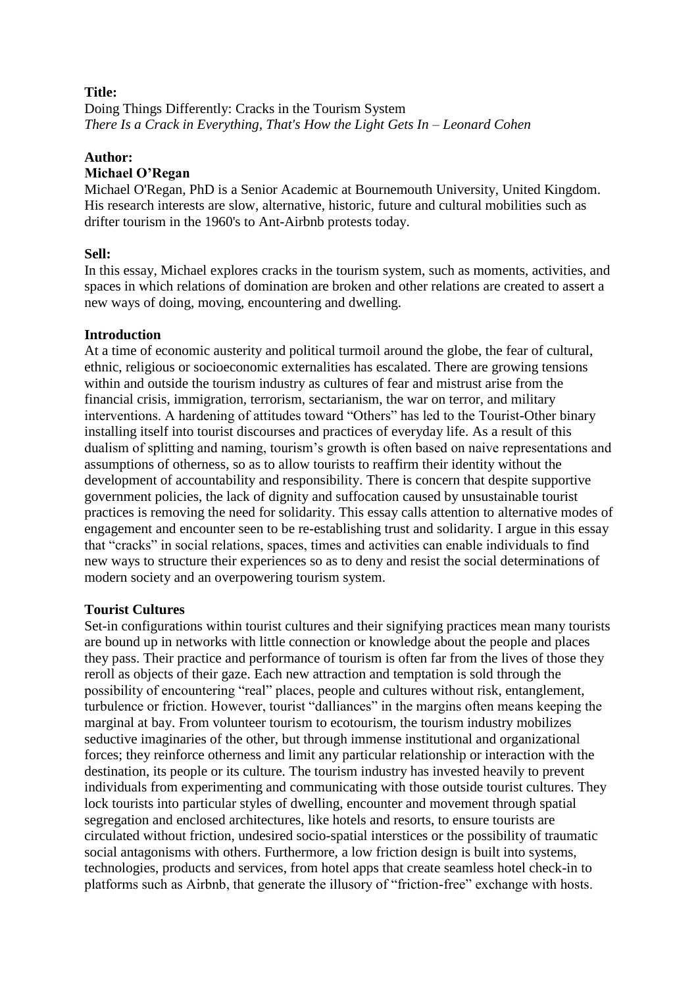# **Title:**

Doing Things Differently: Cracks in the Tourism System *There Is a Crack in Everything, That's How the Light Gets In – Leonard Cohen*

### **Author:**

# **Michael O'Regan**

Michael O'Regan, PhD is a Senior Academic at Bournemouth University, United Kingdom. His research interests are slow, alternative, historic, future and cultural mobilities such as drifter tourism in the 1960's to Ant-Airbnb protests today.

# **Sell:**

In this essay, Michael explores cracks in the tourism system, such as moments, activities, and spaces in which relations of domination are broken and other relations are created to assert a new ways of doing, moving, encountering and dwelling.

## **Introduction**

At a time of economic austerity and political turmoil around the globe, the fear of cultural, ethnic, religious or socioeconomic externalities has escalated. There are growing tensions within and outside the tourism industry as cultures of fear and mistrust arise from the financial crisis, immigration, terrorism, sectarianism, the war on terror, and military interventions. A hardening of attitudes toward "Others" has led to the Tourist-Other binary installing itself into tourist discourses and practices of everyday life. As a result of this dualism of splitting and naming, tourism's growth is often based on naive representations and assumptions of otherness, so as to allow tourists to reaffirm their identity without the development of accountability and responsibility. There is concern that despite supportive government policies, the lack of dignity and suffocation caused by unsustainable tourist practices is removing the need for solidarity. This essay calls attention to alternative modes of engagement and encounter seen to be re-establishing trust and solidarity. I argue in this essay that "cracks" in social relations, spaces, times and activities can enable individuals to find new ways to structure their experiences so as to deny and resist the social determinations of modern society and an overpowering tourism system.

# **Tourist Cultures**

Set-in configurations within tourist cultures and their signifying practices mean many tourists are bound up in networks with little connection or knowledge about the people and places they pass. Their practice and performance of tourism is often far from the lives of those they reroll as objects of their gaze. Each new attraction and temptation is sold through the possibility of encountering "real" places, people and cultures without risk, entanglement, turbulence or friction. However, tourist "dalliances" in the margins often means keeping the marginal at bay. From volunteer tourism to ecotourism, the tourism industry mobilizes seductive imaginaries of the other, but through immense institutional and organizational forces; they reinforce otherness and limit any particular relationship or interaction with the destination, its people or its culture. The tourism industry has invested heavily to prevent individuals from experimenting and communicating with those outside tourist cultures. They lock tourists into particular styles of dwelling, encounter and movement through spatial segregation and enclosed architectures, like hotels and resorts, to ensure tourists are circulated without friction, undesired socio-spatial interstices or the possibility of traumatic social antagonisms with others. Furthermore, a low friction design is built into systems, technologies, products and services, from hotel apps that create seamless hotel check-in to platforms such as Airbnb, that generate the illusory of "friction-free" exchange with hosts.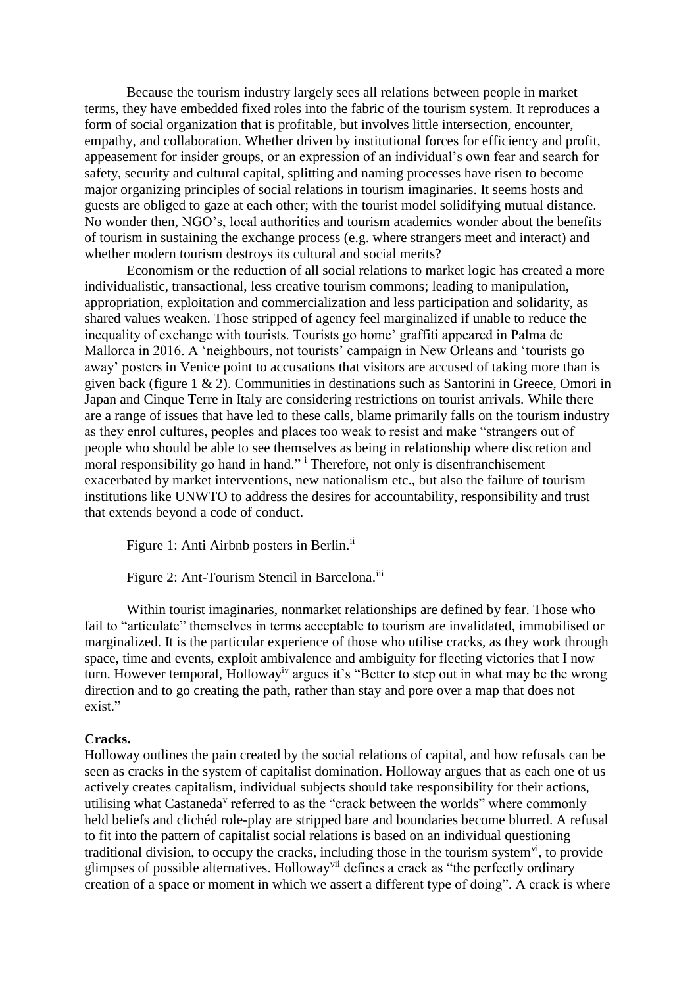Because the tourism industry largely sees all relations between people in market terms, they have embedded fixed roles into the fabric of the tourism system. It reproduces a form of social organization that is profitable, but involves little intersection, encounter, empathy, and collaboration. Whether driven by institutional forces for efficiency and profit, appeasement for insider groups, or an expression of an individual's own fear and search for safety, security and cultural capital, splitting and naming processes have risen to become major organizing principles of social relations in tourism imaginaries. It seems hosts and guests are obliged to gaze at each other; with the tourist model solidifying mutual distance. No wonder then, NGO's, local authorities and tourism academics wonder about the benefits of tourism in sustaining the exchange process (e.g. where strangers meet and interact) and whether modern tourism destroys its cultural and social merits?

Economism or the reduction of all social relations to market logic has created a more individualistic, transactional, less creative tourism commons; leading to manipulation, appropriation, exploitation and commercialization and less participation and solidarity, as shared values weaken. Those stripped of agency feel marginalized if unable to reduce the inequality of exchange with tourists. Tourists go home' graffiti appeared in Palma de Mallorca in 2016. A 'neighbours, not tourists' campaign in New Orleans and 'tourists go away' posters in Venice point to accusations that visitors are accused of taking more than is given back (figure 1 & 2). Communities in destinations such as Santorini in Greece, Omori in Japan and Cinque Terre in Italy are considering restrictions on tourist arrivals. While there are a range of issues that have led to these calls, blame primarily falls on the tourism industry as they enrol cultures, peoples and places too weak to resist and make "strangers out of people who should be able to see themselves as being in relationship where discretion and moral responsibility go hand in hand." <sup>i</sup> Therefore, not only is disenfranchisement exacerbated by market interventions, new nationalism etc., but also the failure of tourism institutions like UNWTO to address the desires for accountability, responsibility and trust that extends beyond a code of conduct.

Figure 1: Anti Airbnb posters in Berlin.<sup>ii</sup>

Figure 2: Ant-Tourism Stencil in Barcelona.<sup>iii</sup>

Within tourist imaginaries, nonmarket relationships are defined by fear. Those who fail to "articulate" themselves in terms acceptable to tourism are invalidated, immobilised or marginalized. It is the particular experience of those who utilise cracks, as they work through space, time and events, exploit ambivalence and ambiguity for fleeting victories that I now turn. However temporal, Hollowayiv argues it's "Better to step out in what may be the wrong direction and to go creating the path, rather than stay and pore over a map that does not exist."

### **Cracks.**

Holloway outlines the pain created by the social relations of capital, and how refusals can be seen as cracks in the system of capitalist domination. Holloway argues that as each one of us actively creates capitalism, individual subjects should take responsibility for their actions, utilising what Castaneda<sup>v</sup> referred to as the "crack between the worlds" where commonly held beliefs and clichéd role-play are stripped bare and boundaries become blurred. A refusal to fit into the pattern of capitalist social relations is based on an individual questioning traditional division, to occupy the cracks, including those in the tourism system<sup>vi</sup>, to provide glimpses of possible alternatives. Holloway<sup>vii</sup> defines a crack as "the perfectly ordinary creation of a space or moment in which we assert a different type of doing". A crack is where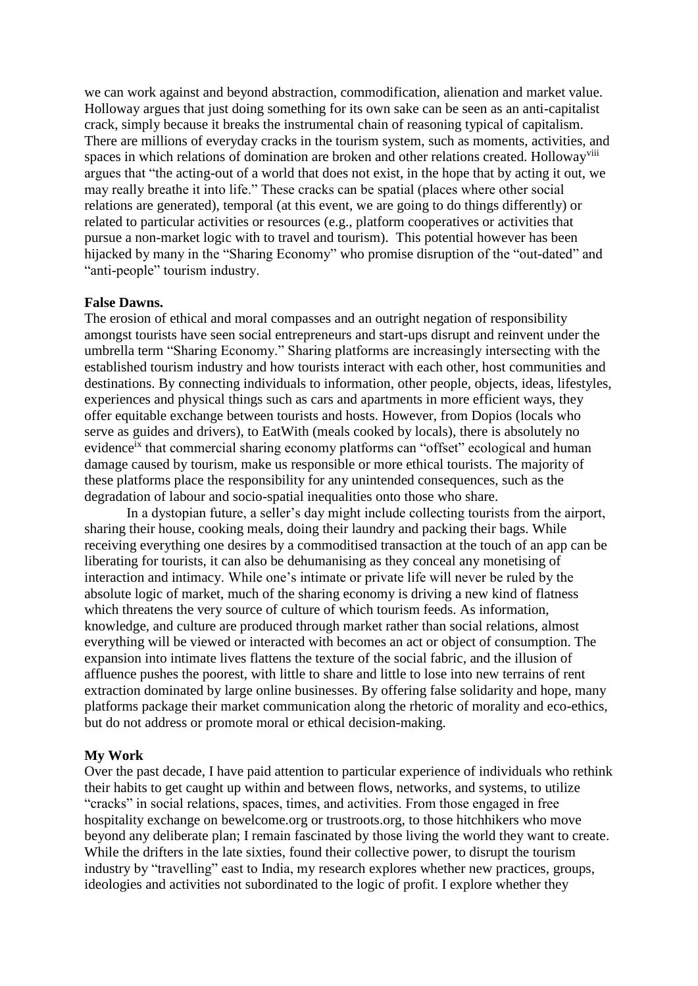we can work against and beyond abstraction, commodification, alienation and market value. Holloway argues that just doing something for its own sake can be seen as an anti-capitalist crack, simply because it breaks the instrumental chain of reasoning typical of capitalism. There are millions of everyday cracks in the tourism system, such as moments, activities, and spaces in which relations of domination are broken and other relations created. Holloway<sup>viii</sup> argues that "the acting-out of a world that does not exist, in the hope that by acting it out, we may really breathe it into life." These cracks can be spatial (places where other social relations are generated), temporal (at this event, we are going to do things differently) or related to particular activities or resources (e.g., platform cooperatives or activities that pursue a non-market logic with to travel and tourism). This potential however has been hijacked by many in the "Sharing Economy" who promise disruption of the "out-dated" and "anti-people" tourism industry.

### **False Dawns.**

The erosion of ethical and moral compasses and an outright negation of responsibility amongst tourists have seen social entrepreneurs and start-ups disrupt and reinvent under the umbrella term "Sharing Economy." Sharing platforms are increasingly intersecting with the established tourism industry and how tourists interact with each other, host communities and destinations. By connecting individuals to information, other people, objects, ideas, lifestyles, experiences and physical things such as cars and apartments in more efficient ways, they offer equitable exchange between tourists and hosts. However, from Dopios (locals who serve as guides and drivers), to EatWith (meals cooked by locals), there is absolutely no evidence<sup>ix</sup> that commercial sharing economy platforms can "offset" ecological and human damage caused by tourism, make us responsible or more ethical tourists. The majority of these platforms place the responsibility for any unintended consequences, such as the degradation of labour and socio-spatial inequalities onto those who share.

In a dystopian future, a seller's day might include collecting tourists from the airport, sharing their house, cooking meals, doing their laundry and packing their bags. While receiving everything one desires by a commoditised transaction at the touch of an app can be liberating for tourists, it can also be dehumanising as they conceal any monetising of interaction and intimacy. While one's intimate or private life will never be ruled by the absolute logic of market, much of the sharing economy is driving a new kind of flatness which threatens the very source of culture of which tourism feeds. As information, knowledge, and culture are produced through market rather than social relations, almost everything will be viewed or interacted with becomes an act or object of consumption. The expansion into intimate lives flattens the texture of the social fabric, and the illusion of affluence pushes the poorest, with little to share and little to lose into new terrains of rent extraction dominated by large online businesses. By offering false solidarity and hope, many platforms package their market communication along the rhetoric of morality and eco-ethics, but do not address or promote moral or ethical decision-making.

#### **My Work**

Over the past decade, I have paid attention to particular experience of individuals who rethink their habits to get caught up within and between flows, networks, and systems, to utilize "cracks" in social relations, spaces, times, and activities. From those engaged in free hospitality exchange on bewelcome.org or trustroots.org, to those hitchhikers who move beyond any deliberate plan; I remain fascinated by those living the world they want to create. While the drifters in the late sixties, found their collective power, to disrupt the tourism industry by "travelling" east to India, my research explores whether new practices, groups, ideologies and activities not subordinated to the logic of profit. I explore whether they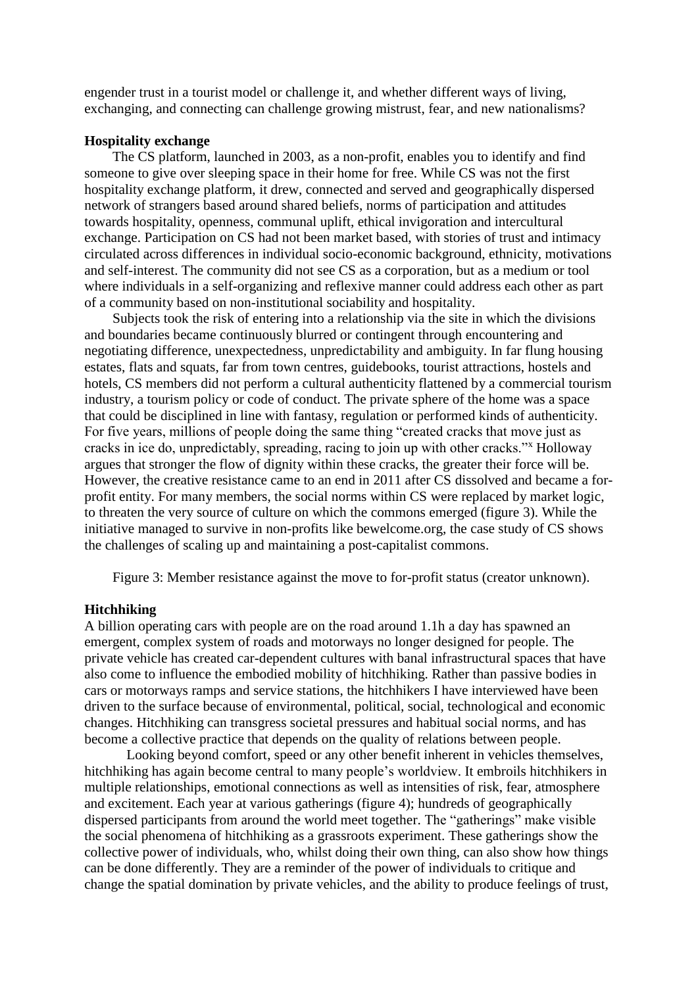engender trust in a tourist model or challenge it, and whether different ways of living, exchanging, and connecting can challenge growing mistrust, fear, and new nationalisms?

### **Hospitality exchange**

The CS platform, launched in 2003, as a non-profit, enables you to identify and find someone to give over sleeping space in their home for free. While CS was not the first hospitality exchange platform, it drew, connected and served and geographically dispersed network of strangers based around shared beliefs, norms of participation and attitudes towards hospitality, openness, communal uplift, ethical invigoration and intercultural exchange. Participation on CS had not been market based, with stories of trust and intimacy circulated across differences in individual socio-economic background, ethnicity, motivations and self-interest. The community did not see CS as a corporation, but as a medium or tool where individuals in a self-organizing and reflexive manner could address each other as part of a community based on non-institutional sociability and hospitality.

Subjects took the risk of entering into a relationship via the site in which the divisions and boundaries became continuously blurred or contingent through encountering and negotiating difference, unexpectedness, unpredictability and ambiguity. In far flung housing estates, flats and squats, far from town centres, guidebooks, tourist attractions, hostels and hotels, CS members did not perform a cultural authenticity flattened by a commercial tourism industry, a tourism policy or code of conduct. The private sphere of the home was a space that could be disciplined in line with fantasy, regulation or performed kinds of authenticity. For five years, millions of people doing the same thing "created cracks that move just as cracks in ice do, unpredictably, spreading, racing to join up with other cracks."<sup>x</sup> Holloway argues that stronger the flow of dignity within these cracks, the greater their force will be. However, the creative resistance came to an end in 2011 after CS dissolved and became a forprofit entity. For many members, the social norms within CS were replaced by market logic, to threaten the very source of culture on which the commons emerged (figure 3). While the initiative managed to survive in non-profits like bewelcome.org, the case study of CS shows the challenges of scaling up and maintaining a post-capitalist commons.

Figure 3: Member resistance against the move to for-profit status (creator unknown).

#### **Hitchhiking**

A billion operating cars with people are on the road around 1.1h a day has spawned an emergent, complex system of roads and motorways no longer designed for people. The private vehicle has created car-dependent cultures with banal infrastructural spaces that have also come to influence the embodied mobility of hitchhiking. Rather than passive bodies in cars or motorways ramps and service stations, the hitchhikers I have interviewed have been driven to the surface because of environmental, political, social, technological and economic changes. Hitchhiking can transgress societal pressures and habitual social norms, and has become a collective practice that depends on the quality of relations between people.

Looking beyond comfort, speed or any other benefit inherent in vehicles themselves, hitchhiking has again become central to many people's worldview. It embroils hitchhikers in multiple relationships, emotional connections as well as intensities of risk, fear, atmosphere and excitement. Each year at various gatherings (figure 4); hundreds of geographically dispersed participants from around the world meet together. The "gatherings" make visible the social phenomena of hitchhiking as a grassroots experiment. These gatherings show the collective power of individuals, who, whilst doing their own thing, can also show how things can be done differently. They are a reminder of the power of individuals to critique and change the spatial domination by private vehicles, and the ability to produce feelings of trust,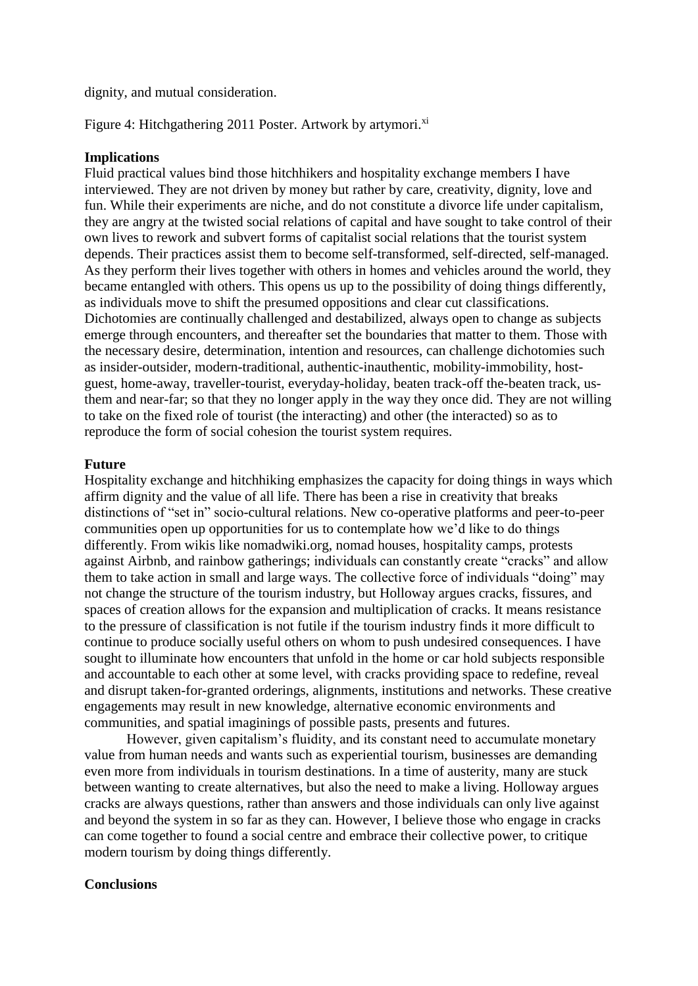dignity, and mutual consideration.

Figure 4: Hitchgathering 2011 Poster. Artwork by artymori.<sup>xi</sup>

### **Implications**

Fluid practical values bind those hitchhikers and hospitality exchange members I have interviewed. They are not driven by money but rather by care, creativity, dignity, love and fun. While their experiments are niche, and do not constitute a divorce life under capitalism, they are angry at the twisted social relations of capital and have sought to take control of their own lives to rework and subvert forms of capitalist social relations that the tourist system depends. Their practices assist them to become self-transformed, self-directed, self-managed. As they perform their lives together with others in homes and vehicles around the world, they became entangled with others. This opens us up to the possibility of doing things differently, as individuals move to shift the presumed oppositions and clear cut classifications. Dichotomies are continually challenged and destabilized, always open to change as subjects emerge through encounters, and thereafter set the boundaries that matter to them. Those with the necessary desire, determination, intention and resources, can challenge dichotomies such as insider-outsider, modern-traditional, authentic-inauthentic, mobility-immobility, hostguest, home-away, traveller-tourist, everyday-holiday, beaten track-off the-beaten track, usthem and near-far; so that they no longer apply in the way they once did. They are not willing to take on the fixed role of tourist (the interacting) and other (the interacted) so as to reproduce the form of social cohesion the tourist system requires.

### **Future**

Hospitality exchange and hitchhiking emphasizes the capacity for doing things in ways which affirm dignity and the value of all life. There has been a rise in creativity that breaks distinctions of "set in" socio-cultural relations. New co-operative platforms and peer-to-peer communities open up opportunities for us to contemplate how we'd like to do things differently. From wikis like nomadwiki.org, nomad houses, hospitality camps, protests against Airbnb, and rainbow gatherings; individuals can constantly create "cracks" and allow them to take action in small and large ways. The collective force of individuals "doing" may not change the structure of the tourism industry, but Holloway argues cracks, fissures, and spaces of creation allows for the expansion and multiplication of cracks. It means resistance to the pressure of classification is not futile if the tourism industry finds it more difficult to continue to produce socially useful others on whom to push undesired consequences. I have sought to illuminate how encounters that unfold in the home or car hold subjects responsible and accountable to each other at some level, with cracks providing space to redefine, reveal and disrupt taken-for-granted orderings, alignments, institutions and networks. These creative engagements may result in new knowledge, alternative economic environments and communities, and spatial imaginings of possible pasts, presents and futures.

However, given capitalism's fluidity, and its constant need to accumulate monetary value from human needs and wants such as experiential tourism, businesses are demanding even more from individuals in tourism destinations. In a time of austerity, many are stuck between wanting to create alternatives, but also the need to make a living. Holloway argues cracks are always questions, rather than answers and those individuals can only live against and beyond the system in so far as they can. However, I believe those who engage in cracks can come together to found a social centre and embrace their collective power, to critique modern tourism by doing things differently.

### **Conclusions**